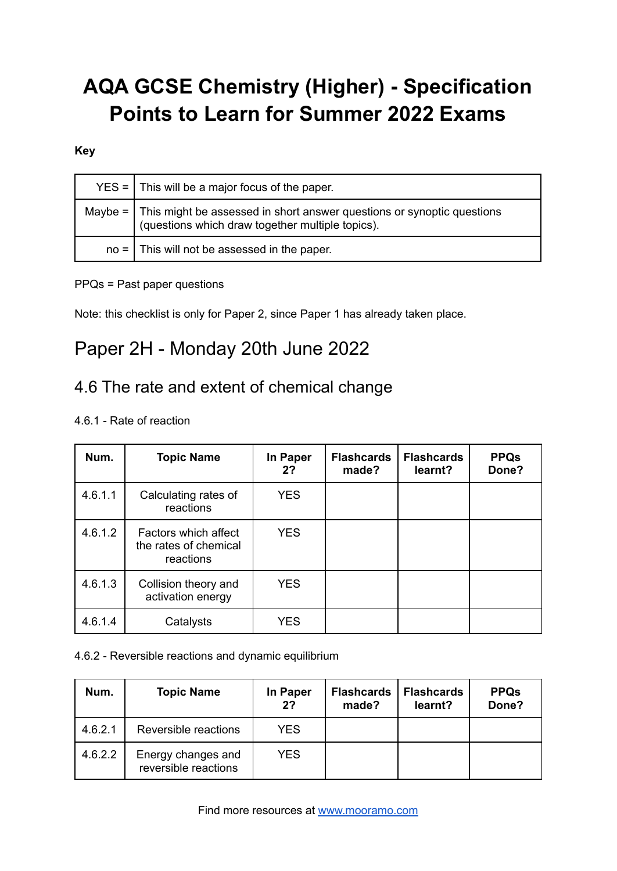# **AQA GCSE Chemistry (Higher) - Specification Points to Learn for Summer 2022 Exams**

### **Key**

| $YES =$ This will be a major focus of the paper.                                                                                        |
|-----------------------------------------------------------------------------------------------------------------------------------------|
| Maybe = $\vert$ This might be assessed in short answer questions or synoptic questions (questions which draw together multiple topics). |
| $no =$ This will not be assessed in the paper.                                                                                          |

### PPQs = Past paper questions

Note: this checklist is only for Paper 2, since Paper 1 has already taken place.

## Paper 2H - Monday 20th June 2022

### 4.6 The rate and extent of chemical change

### 4.6.1 - Rate of reaction

| Num.    | <b>Topic Name</b>                                          | In Paper<br>2? | <b>Flashcards</b><br>made? | <b>Flashcards</b><br>learnt? | <b>PPQs</b><br>Done? |
|---------|------------------------------------------------------------|----------------|----------------------------|------------------------------|----------------------|
| 4.6.1.1 | Calculating rates of<br>reactions                          | <b>YES</b>     |                            |                              |                      |
| 4.6.1.2 | Factors which affect<br>the rates of chemical<br>reactions | <b>YES</b>     |                            |                              |                      |
| 4.6.1.3 | Collision theory and<br>activation energy                  | <b>YES</b>     |                            |                              |                      |
| 4.6.1.4 | Catalysts                                                  | <b>YES</b>     |                            |                              |                      |

#### 4.6.2 - Reversible reactions and dynamic equilibrium

| Num.    | <b>Topic Name</b>                          | In Paper<br>2 <sup>2</sup> | <b>Flashcards</b><br>made? | <b>Flashcards</b><br>learnt? | <b>PPQs</b><br>Done? |
|---------|--------------------------------------------|----------------------------|----------------------------|------------------------------|----------------------|
| 4.6.2.1 | Reversible reactions                       | <b>YES</b>                 |                            |                              |                      |
| 4.6.2.2 | Energy changes and<br>reversible reactions | <b>YES</b>                 |                            |                              |                      |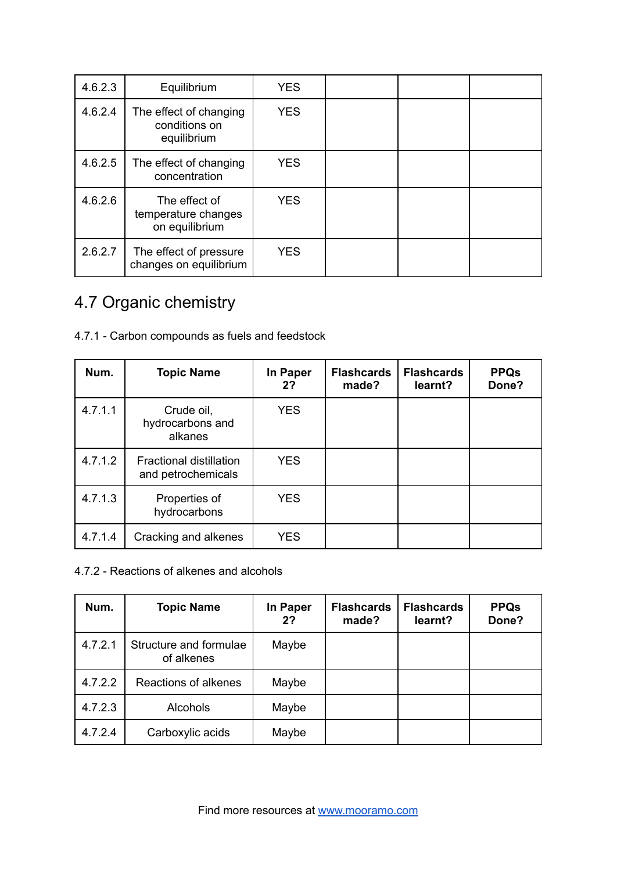| 4.6.2.3 | Equilibrium                                            | <b>YES</b> |  |  |
|---------|--------------------------------------------------------|------------|--|--|
| 4.6.2.4 | The effect of changing<br>conditions on<br>equilibrium | <b>YES</b> |  |  |
| 4.6.2.5 | The effect of changing<br>concentration                | <b>YES</b> |  |  |
| 4.6.2.6 | The effect of<br>temperature changes<br>on equilibrium | <b>YES</b> |  |  |
| 2.6.2.7 | The effect of pressure<br>changes on equilibrium       | <b>YES</b> |  |  |

## 4.7 Organic chemistry

|  |  | 4.7.1 - Carbon compounds as fuels and feedstock |  |  |  |  |
|--|--|-------------------------------------------------|--|--|--|--|
|--|--|-------------------------------------------------|--|--|--|--|

| Num.    | <b>Topic Name</b>                                    | In Paper<br>2? | <b>Flashcards</b><br>made? | <b>Flashcards</b><br>learnt? | <b>PPQs</b><br>Done? |
|---------|------------------------------------------------------|----------------|----------------------------|------------------------------|----------------------|
| 4.7.1.1 | Crude oil,<br>hydrocarbons and<br>alkanes            | <b>YES</b>     |                            |                              |                      |
| 4.7.1.2 | <b>Fractional distillation</b><br>and petrochemicals | <b>YES</b>     |                            |                              |                      |
| 4.7.1.3 | Properties of<br>hydrocarbons                        | <b>YES</b>     |                            |                              |                      |
| 4.7.1.4 | Cracking and alkenes                                 | <b>YES</b>     |                            |                              |                      |

#### 4.7.2 - Reactions of alkenes and alcohols

| Num.    | <b>Topic Name</b>                    | In Paper<br>2? | <b>Flashcards</b><br>made? | <b>Flashcards</b><br>learnt? | <b>PPQs</b><br>Done? |
|---------|--------------------------------------|----------------|----------------------------|------------------------------|----------------------|
| 4.7.2.1 | Structure and formulae<br>of alkenes | Maybe          |                            |                              |                      |
| 4.7.2.2 | Reactions of alkenes                 | Maybe          |                            |                              |                      |
| 4.7.2.3 | <b>Alcohols</b>                      | Maybe          |                            |                              |                      |
| 4.7.2.4 | Carboxylic acids                     | Maybe          |                            |                              |                      |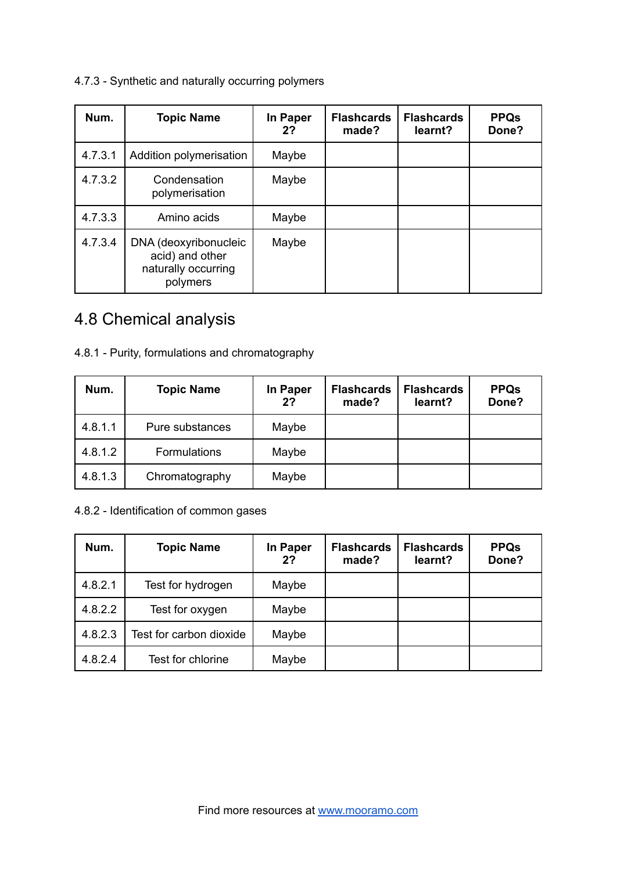4.7.3 - Synthetic and naturally occurring polymers

| Num.    | <b>Topic Name</b>                                                           | In Paper<br>2? | <b>Flashcards</b><br>made? | <b>Flashcards</b><br>learnt? | <b>PPQs</b><br>Done? |
|---------|-----------------------------------------------------------------------------|----------------|----------------------------|------------------------------|----------------------|
| 4.7.3.1 | Addition polymerisation                                                     | Maybe          |                            |                              |                      |
| 4.7.3.2 | Condensation<br>polymerisation                                              | Maybe          |                            |                              |                      |
| 4.7.3.3 | Amino acids                                                                 | Maybe          |                            |                              |                      |
| 4.7.3.4 | DNA (deoxyribonucleic<br>acid) and other<br>naturally occurring<br>polymers | Maybe          |                            |                              |                      |

## 4.8 Chemical analysis

| 4.8.1 - Purity, formulations and chromatography |  |  |  |  |  |  |  |  |
|-------------------------------------------------|--|--|--|--|--|--|--|--|
|-------------------------------------------------|--|--|--|--|--|--|--|--|

| Num.    | <b>Topic Name</b>   | In Paper<br>2? | <b>Flashcards</b><br>made? | <b>Flashcards</b><br>learnt? | <b>PPQs</b><br>Done? |
|---------|---------------------|----------------|----------------------------|------------------------------|----------------------|
| 4.8.1.1 | Pure substances     | Maybe          |                            |                              |                      |
| 4.8.1.2 | <b>Formulations</b> | Maybe          |                            |                              |                      |
| 4.8.1.3 | Chromatography      | Maybe          |                            |                              |                      |

4.8.2 - Identification of common gases

| Num.    | <b>Topic Name</b>       | <b>In Paper</b><br>2? | <b>Flashcards</b><br>made? | <b>Flashcards</b><br>learnt? | <b>PPQs</b><br>Done? |
|---------|-------------------------|-----------------------|----------------------------|------------------------------|----------------------|
| 4.8.2.1 | Test for hydrogen       | Maybe                 |                            |                              |                      |
| 4.8.2.2 | Test for oxygen         | Maybe                 |                            |                              |                      |
| 4.8.2.3 | Test for carbon dioxide | Maybe                 |                            |                              |                      |
| 4.8.2.4 | Test for chlorine       | Maybe                 |                            |                              |                      |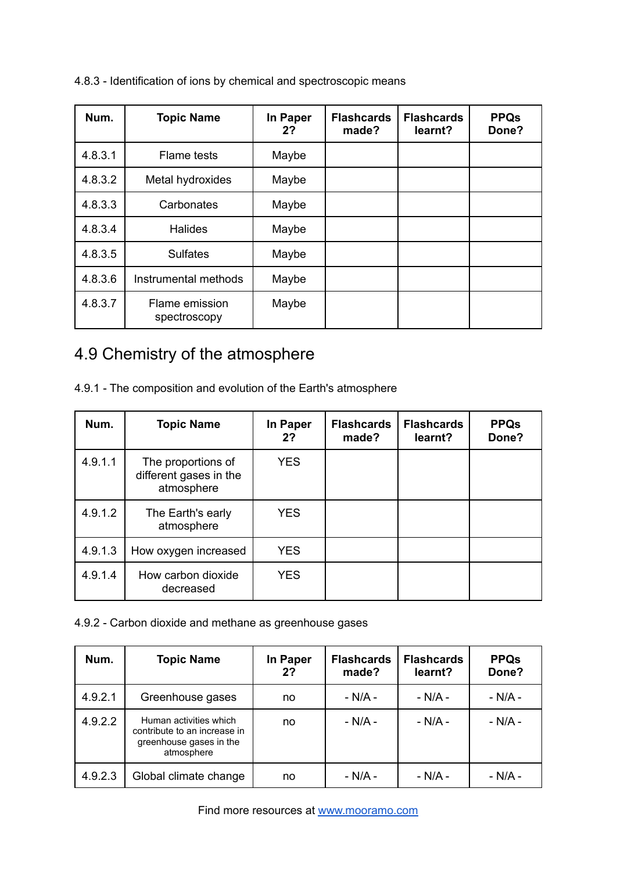| Num.    | <b>Topic Name</b>              | In Paper<br>2? | <b>Flashcards</b><br>made? | <b>Flashcards</b><br>learnt? | <b>PPQs</b><br>Done? |
|---------|--------------------------------|----------------|----------------------------|------------------------------|----------------------|
| 4.8.3.1 | Flame tests                    | Maybe          |                            |                              |                      |
| 4.8.3.2 | Metal hydroxides               | Maybe          |                            |                              |                      |
| 4.8.3.3 | Carbonates                     | Maybe          |                            |                              |                      |
| 4.8.3.4 | <b>Halides</b>                 | Maybe          |                            |                              |                      |
| 4.8.3.5 | <b>Sulfates</b>                | Maybe          |                            |                              |                      |
| 4.8.3.6 | Instrumental methods           | Maybe          |                            |                              |                      |
| 4.8.3.7 | Flame emission<br>spectroscopy | Maybe          |                            |                              |                      |

4.8.3 - Identification of ions by chemical and spectroscopic means

### 4.9 Chemistry of the atmosphere

4.9.1 - The composition and evolution of the Earth's atmosphere

| Num.    | <b>Topic Name</b>                                          | In Paper<br>2? | <b>Flashcards</b><br>made? | <b>Flashcards</b><br>learnt? | <b>PPQs</b><br>Done? |
|---------|------------------------------------------------------------|----------------|----------------------------|------------------------------|----------------------|
| 4.9.1.1 | The proportions of<br>different gases in the<br>atmosphere | <b>YES</b>     |                            |                              |                      |
| 4.9.1.2 | The Earth's early<br>atmosphere                            | <b>YES</b>     |                            |                              |                      |
| 4.9.1.3 | How oxygen increased                                       | <b>YES</b>     |                            |                              |                      |
| 4.9.1.4 | How carbon dioxide<br>decreased                            | <b>YES</b>     |                            |                              |                      |

4.9.2 - Carbon dioxide and methane as greenhouse gases

| Num.    | <b>Topic Name</b>                                                                               | In Paper<br>2? | <b>Flashcards</b><br>made? | <b>Flashcards</b><br>learnt? | <b>PPQs</b><br>Done? |
|---------|-------------------------------------------------------------------------------------------------|----------------|----------------------------|------------------------------|----------------------|
| 4.9.2.1 | Greenhouse gases                                                                                | no             | - N/A -                    | $- N/A -$                    | $- N/A -$            |
| 4.9.2.2 | Human activities which<br>contribute to an increase in<br>greenhouse gases in the<br>atmosphere | no             | - N/A -                    | - $N/A$ -                    | - N/A -              |
| 4.9.2.3 | Global climate change                                                                           | no             | - N/A -                    | $- N/A -$                    | $- N/A -$            |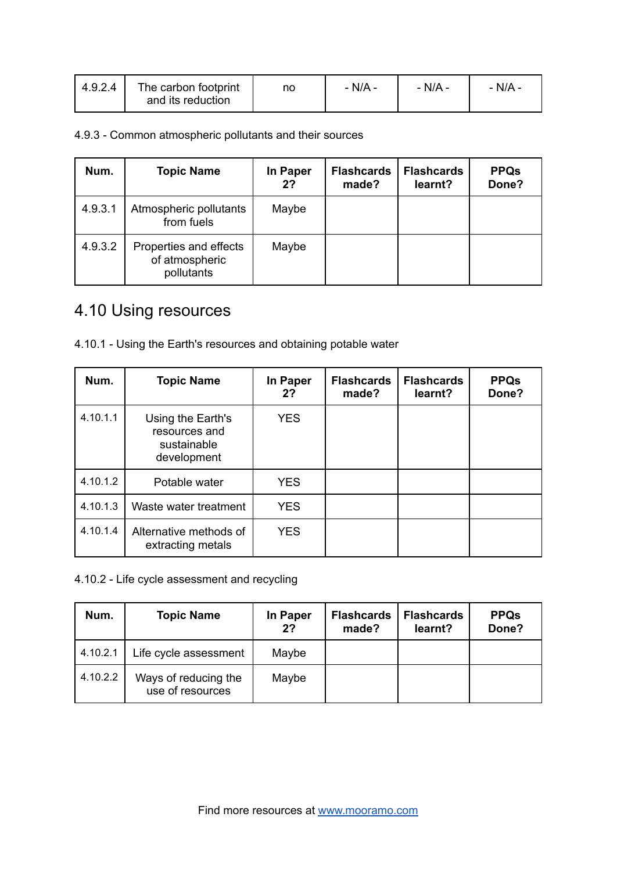| 4.9.2.4 | The carbon footprint<br>and its reduction | no | - N/A - | - N/A - | $N/A$ - |
|---------|-------------------------------------------|----|---------|---------|---------|
|         |                                           |    |         |         |         |

4.9.3 - Common atmospheric pollutants and their sources

| Num.    | <b>Topic Name</b>                                      | In Paper<br>2? | <b>Flashcards</b><br>made? | <b>Flashcards</b><br>learnt? | <b>PPQs</b><br>Done? |
|---------|--------------------------------------------------------|----------------|----------------------------|------------------------------|----------------------|
| 4.9.3.1 | Atmospheric pollutants<br>from fuels                   | Maybe          |                            |                              |                      |
| 4.9.3.2 | Properties and effects<br>of atmospheric<br>pollutants | Maybe          |                            |                              |                      |

## 4.10 Using resources

| 4.10.1 - Using the Earth's resources and obtaining potable water |  |
|------------------------------------------------------------------|--|
|------------------------------------------------------------------|--|

| Num.     | <b>Topic Name</b>                                                | In Paper<br>2? | <b>Flashcards</b><br>made? | <b>Flashcards</b><br>learnt? | <b>PPQs</b><br>Done? |
|----------|------------------------------------------------------------------|----------------|----------------------------|------------------------------|----------------------|
| 4.10.1.1 | Using the Earth's<br>resources and<br>sustainable<br>development | <b>YES</b>     |                            |                              |                      |
| 4.10.1.2 | Potable water                                                    | <b>YES</b>     |                            |                              |                      |
| 4.10.1.3 | Waste water treatment                                            | <b>YES</b>     |                            |                              |                      |
| 4.10.1.4 | Alternative methods of<br>extracting metals                      | <b>YES</b>     |                            |                              |                      |

4.10.2 - Life cycle assessment and recycling

| Num.     | <b>Topic Name</b>                        | In Paper<br>2? | <b>Flashcards</b><br>made? | <b>Flashcards</b><br>learnt? | <b>PPQs</b><br>Done? |
|----------|------------------------------------------|----------------|----------------------------|------------------------------|----------------------|
| 4.10.2.1 | Life cycle assessment                    | Maybe          |                            |                              |                      |
| 4.10.2.2 | Ways of reducing the<br>use of resources | Maybe          |                            |                              |                      |